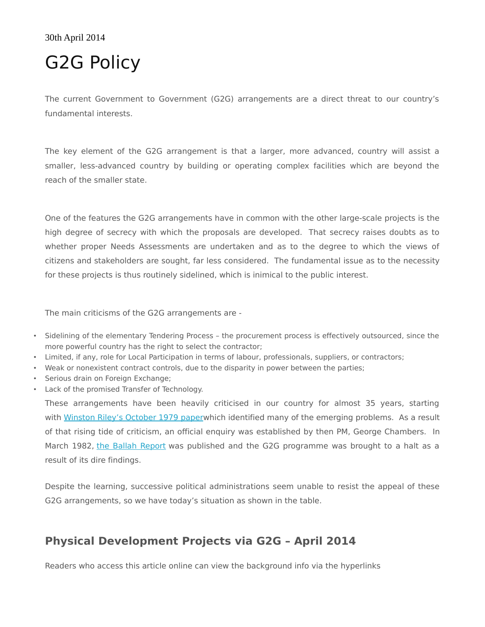## 30th April 2014

## G2G Policy

The current Government to Government (G2G) arrangements are a direct threat to our country's fundamental interests.

The key element of the G2G arrangement is that a larger, more advanced, country will assist a smaller, less-advanced country by building or operating complex facilities which are beyond the reach of the smaller state.

One of the features the G2G arrangements have in common with the other large-scale projects is the high degree of secrecy with which the proposals are developed. That secrecy raises doubts as to whether proper Needs Assessments are undertaken and as to the degree to which the views of citizens and stakeholders are sought, far less considered. The fundamental issue as to the necessity for these projects is thus routinely sidelined, which is inimical to the public interest.

The main criticisms of the G2G arrangements are -

- Sidelining of the elementary Tendering Process the procurement process is effectively outsourced, since the more powerful country has the right to select the contractor;
- Limited, if any, role for Local Participation in terms of labour, professionals, suppliers, or contractors;
- Weak or nonexistent contract controls, due to the disparity in power between the parties;
- Serious drain on Foreign Exchange;
- Lack of the promised Transfer of Technology.

These arrangements have been heavily criticised in our country for almost 35 years, starting with [Winston Riley's October 1979 paperw](http://www.jcc.org.tt/G2G/wrileyong2g.pdf)hich identified many of the emerging problems. As a result of that rising tide of criticism, an official enquiry was established by then PM, George Chambers. In March 1982, [the Ballah Report](http://www.jcc.org.tt/G2G/Ballahreport.pdf) was published and the G2G programme was brought to a halt as a result of its dire findings.

Despite the learning, successive political administrations seem unable to resist the appeal of these G2G arrangements, so we have today's situation as shown in the table.

## **Physical Development Projects via G2G – April 2014**

Readers who access this article online can view the background info via the hyperlinks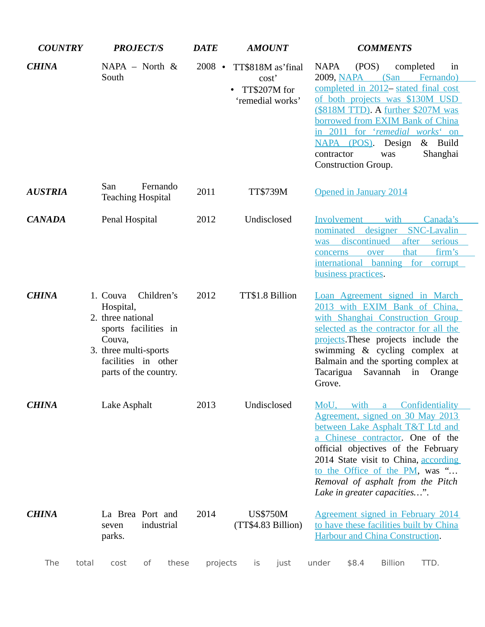| <b>COUNTRY</b> |                 | <b>PROJECT/S</b>                                                                                                                                                    | <b>DATE</b> |          |                         | <b>AMOUNT</b>                                                  |                                                                                                                                                                                                                                                                                                                                  | <b>COMMENTS</b>                                                                                                                                                                                                                                                                                            |                                 |                                                                                                                                                                                                                                               |  |  |
|----------------|-----------------|---------------------------------------------------------------------------------------------------------------------------------------------------------------------|-------------|----------|-------------------------|----------------------------------------------------------------|----------------------------------------------------------------------------------------------------------------------------------------------------------------------------------------------------------------------------------------------------------------------------------------------------------------------------------|------------------------------------------------------------------------------------------------------------------------------------------------------------------------------------------------------------------------------------------------------------------------------------------------------------|---------------------------------|-----------------------------------------------------------------------------------------------------------------------------------------------------------------------------------------------------------------------------------------------|--|--|
| <b>CHINA</b>   | South           | $NAPA - North &$                                                                                                                                                    |             | $2008$ • |                         | TT\$818M as'final<br>cost'<br>TT\$207M for<br>'remedial works' | <b>NAPA</b><br>contractor                                                                                                                                                                                                                                                                                                        | (POS)<br>NAPA (POS).<br>Construction Group.                                                                                                                                                                                                                                                                | completed<br>Design<br>was      | in<br>2009, NAPA (San Fernando)<br>completed in 2012-stated final cost<br>of both projects was \$130M USD<br>(\$818M TTD). A further \$207M was<br>borrowed from EXIM Bank of China<br>in 2011 for 'remedial works' on<br>& Build<br>Shanghai |  |  |
| <b>AUSTRIA</b> | San             | <b>Teaching Hospital</b>                                                                                                                                            | Fernando    | 2011     |                         | TT\$739M                                                       |                                                                                                                                                                                                                                                                                                                                  | Opened in January 2014                                                                                                                                                                                                                                                                                     |                                 |                                                                                                                                                                                                                                               |  |  |
| <b>CANADA</b>  |                 | Penal Hospital                                                                                                                                                      |             | 2012     |                         | Undisclosed                                                    | <b>Involvement</b><br>was<br>concerns                                                                                                                                                                                                                                                                                            | discontinued<br>over<br>business practices.                                                                                                                                                                                                                                                                | with<br>after<br>that           | Canada's<br>nominated designer SNC-Lavalin<br>serious<br>firm's<br>international banning for corrupt                                                                                                                                          |  |  |
| <b>CHINA</b>   |                 | Children's<br>1. Couva<br>Hospital,<br>2. three national<br>sports facilities in<br>Couva,<br>3. three multi-sports<br>facilities in other<br>parts of the country. |             |          | 2012<br>TT\$1.8 Billion |                                                                |                                                                                                                                                                                                                                                                                                                                  | Loan Agreement signed in March<br>2013 with EXIM Bank of China,<br>with Shanghai Construction Group<br>selected as the contractor for all the<br>projects. These projects include the<br>swimming & cycling complex at<br>Balmain and the sporting complex at<br>Tacarigua<br>Savannah in Orange<br>Grove. |                                 |                                                                                                                                                                                                                                               |  |  |
| <b>CHINA</b>   | Lake Asphalt    |                                                                                                                                                                     |             | 2013     | Undisclosed             |                                                                | MoU, with a<br>Confidentiality<br>Agreement, signed on 30 May 2013<br>between Lake Asphalt T&T Ltd and<br>a Chinese contractor. One of the<br>official objectives of the February<br>2014 State visit to China, according<br>to the Office of the PM, was "<br>Removal of asphalt from the Pitch<br>Lake in greater capacities". |                                                                                                                                                                                                                                                                                                            |                                 |                                                                                                                                                                                                                                               |  |  |
| <b>CHINA</b>   | seven<br>parks. | La Brea Port and                                                                                                                                                    | industrial  | 2014     |                         | <b>US\$750M</b><br>(TT\$4.83 Billion)                          |                                                                                                                                                                                                                                                                                                                                  |                                                                                                                                                                                                                                                                                                            | Harbour and China Construction. | <b>Agreement signed in February 2014</b><br>to have these facilities built by China                                                                                                                                                           |  |  |
| The            | total           | of<br>cost                                                                                                                                                          | these       | projects | is                      | just                                                           | under                                                                                                                                                                                                                                                                                                                            | \$8.4                                                                                                                                                                                                                                                                                                      | <b>Billion</b>                  | TTD.                                                                                                                                                                                                                                          |  |  |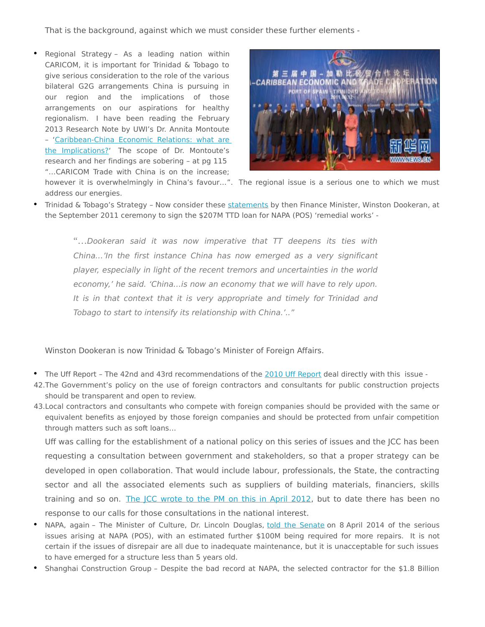That is the background, against which we must consider these further elements -

• Regional Strategy – As a leading nation within CARICOM, it is important for Trinidad & Tobago to give serious consideration to the role of the various bilateral G2G arrangements China is pursuing in our region and the implications of those arrangements on our aspirations for healthy regionalism. I have been reading the February 2013 Research Note by UWI's Dr. Annita Montoute – ['Caribbean-China Economic Relations: what are](http://afraraymond.files.wordpress.com/2014/04/344-684-1-sm.pdf) [the Implications?'](http://afraraymond.files.wordpress.com/2014/04/344-684-1-sm.pdf) The scope of Dr. Montoute's research and her findings are sobering – at pg 115 "…CARICOM Trade with China is on the increase;



however it is overwhelmingly in China's favour…". The regional issue is a serious one to which we must address our energies.

Trinidad & Tobago's Strategy - Now consider these [statements](http://www.newsday.co.tt/politics/0,147151.html) by then Finance Minister, Winston Dookeran, at the September 2011 ceremony to sign the \$207M TTD loan for NAPA (POS) 'remedial works' -

"...Dookeran said it was now imperative that  $TT$  deepens its ties with China…'In the first instance China has now emerged as a very significant player, especially in light of the recent tremors and uncertainties in the world economy,' he said. 'China…is now an economy that we will have to rely upon. It is in that context that it is very appropriate and timely for Trinidad and Tobago to start to intensify its relationship with China.'.."

Winston Dookeran is now Trinidad & Tobago's Minister of Foreign Affairs.

- The Uff Report The 42nd and 43rd recommendations of the [2010 Uff Report](http://www.jcc.org.tt/uffreport.pdf) deal directly with this issue -
- 42.The Government's policy on the use of foreign contractors and consultants for public construction projects should be transparent and open to review.
- 43.Local contractors and consultants who compete with foreign companies should be provided with the same or equivalent benefits as enjoyed by those foreign companies and should be protected from unfair competition through matters such as soft loans…

Uff was calling for the establishment of a national policy on this series of issues and the JCC has been requesting a consultation between government and stakeholders, so that a proper strategy can be developed in open collaboration. That would include labour, professionals, the State, the contracting sector and all the associated elements such as suppliers of building materials, financiers, skills training and so on. [The JCC wrote to the PM on this in April 2012,](http://www.jcc.org.tt/procurement/lettertoPM24-04-12.pdf) but to date there has been no response to our calls for those consultations in the national interest.

- NAPA, again The Minister of Culture, Dr. Lincoln Douglas, [told the Senate](http://www.ttparliament.org/hansards/hs20140408.pdf) on 8 April 2014 of the serious issues arising at NAPA (POS), with an estimated further \$100M being required for more repairs. It is not certain if the issues of disrepair are all due to inadequate maintenance, but it is unacceptable for such issues to have emerged for a structure less than 5 years old.
- Shanghai Construction Group Despite the bad record at NAPA, the selected contractor for the \$1.8 Billion